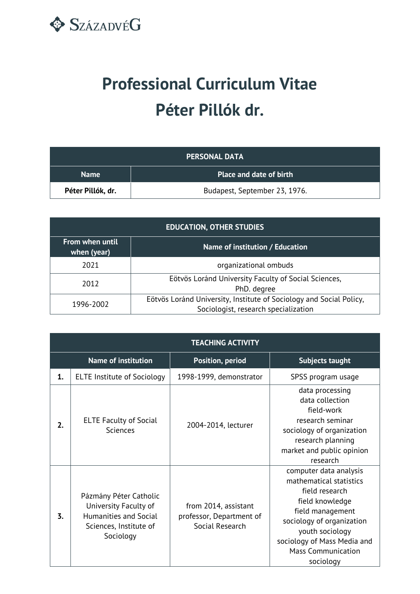

## **Professional Curriculum Vitae Péter Pillók dr.**

| <b>PERSONAL DATA</b> |                                |
|----------------------|--------------------------------|
| <b>Name</b>          | <b>Place and date of birth</b> |
| Péter Pillók, dr.    | Budapest, September 23, 1976.  |

| <b>EDUCATION, OTHER STUDIES</b>                                   |                                                                                                             |  |
|-------------------------------------------------------------------|-------------------------------------------------------------------------------------------------------------|--|
| From when until<br>Name of institution / Education<br>when (year) |                                                                                                             |  |
| 2021                                                              | organizational ombuds                                                                                       |  |
| 2012                                                              | Eötvös Loránd University Faculty of Social Sciences,<br>PhD. degree                                         |  |
| 1996-2002                                                         | Eötvös Loránd University, Institute of Sociology and Social Policy,<br>Sociologist, research specialization |  |

| <b>TEACHING ACTIVITY</b> |                                                                                                                 |                                                                     |                                                                                                                                                                                                                                     |
|--------------------------|-----------------------------------------------------------------------------------------------------------------|---------------------------------------------------------------------|-------------------------------------------------------------------------------------------------------------------------------------------------------------------------------------------------------------------------------------|
|                          | <b>Name of institution</b>                                                                                      | <b>Position, period</b>                                             | Subjects taught                                                                                                                                                                                                                     |
| 1.                       | <b>ELTE Institute of Sociology</b>                                                                              | 1998-1999, demonstrator                                             | SPSS program usage                                                                                                                                                                                                                  |
| 2.                       | <b>ELTE Faculty of Social</b><br><b>Sciences</b>                                                                | 2004-2014, lecturer                                                 | data processing<br>data collection<br>field-work<br>research seminar<br>sociology of organization<br>research planning<br>market and public opinion<br>research                                                                     |
| 3.                       | Pázmány Péter Catholic<br>University Faculty of<br>Humanities and Social<br>Sciences, Institute of<br>Sociology | from 2014, assistant<br>professor, Department of<br>Social Research | computer data analysis<br>mathematical statistics<br>field research<br>field knowledge<br>field management<br>sociology of organization<br>youth sociology<br>sociology of Mass Media and<br><b>Mass Communication</b><br>sociology |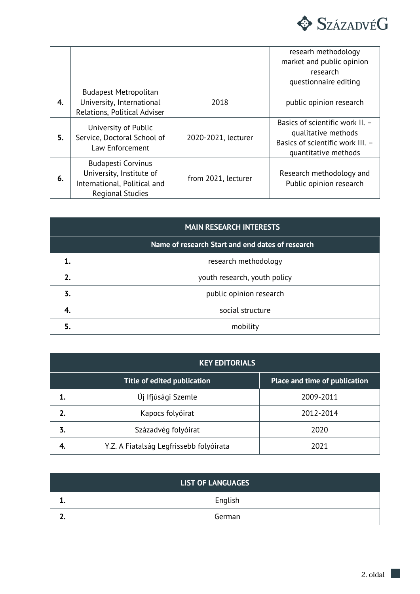

|    |                                                                                                                  |                     | researh methodology<br>market and public opinion<br>research<br>questionnaire editing                              |
|----|------------------------------------------------------------------------------------------------------------------|---------------------|--------------------------------------------------------------------------------------------------------------------|
| 4. | <b>Budapest Metropolitan</b><br>University, International<br>Relations, Political Adviser                        | 2018                | public opinion research                                                                                            |
| 5. | University of Public<br>Service, Doctoral School of<br>Law Enforcement                                           | 2020-2021, lecturer | Basics of scientific work II. -<br>qualitative methods<br>Basics of scientific work III. -<br>quantitative methods |
| 6. | <b>Budapesti Corvinus</b><br>University, Institute of<br>International, Political and<br><b>Regional Studies</b> | from 2021, lecturer | Research methodology and<br>Public opinion research                                                                |

| <b>MAIN RESEARCH INTERESTS</b> |                                                  |
|--------------------------------|--------------------------------------------------|
|                                | Name of research Start and end dates of research |
|                                | research methodology                             |
| 2.                             | youth research, youth policy                     |
| 3.                             | public opinion research                          |
| 4.                             | social structure                                 |
| 5.                             | mobility                                         |

|    | <b>KEY EDITORIALS</b>                   |                               |  |
|----|-----------------------------------------|-------------------------------|--|
|    | Title of edited publication             | Place and time of publication |  |
| 1. | Új Ifjúsági Szemle                      | 2009-2011                     |  |
|    | Kapocs folyóirat                        | 2012-2014                     |  |
| 3. | Századvég folyóirat                     | 2020                          |  |
| 4. | Y.Z. A Fiatalság Legfrissebb folyóirata | 2021                          |  |

| <b>LIST OF LANGUAGES</b> |         |  |
|--------------------------|---------|--|
| --                       | English |  |
|                          | German  |  |